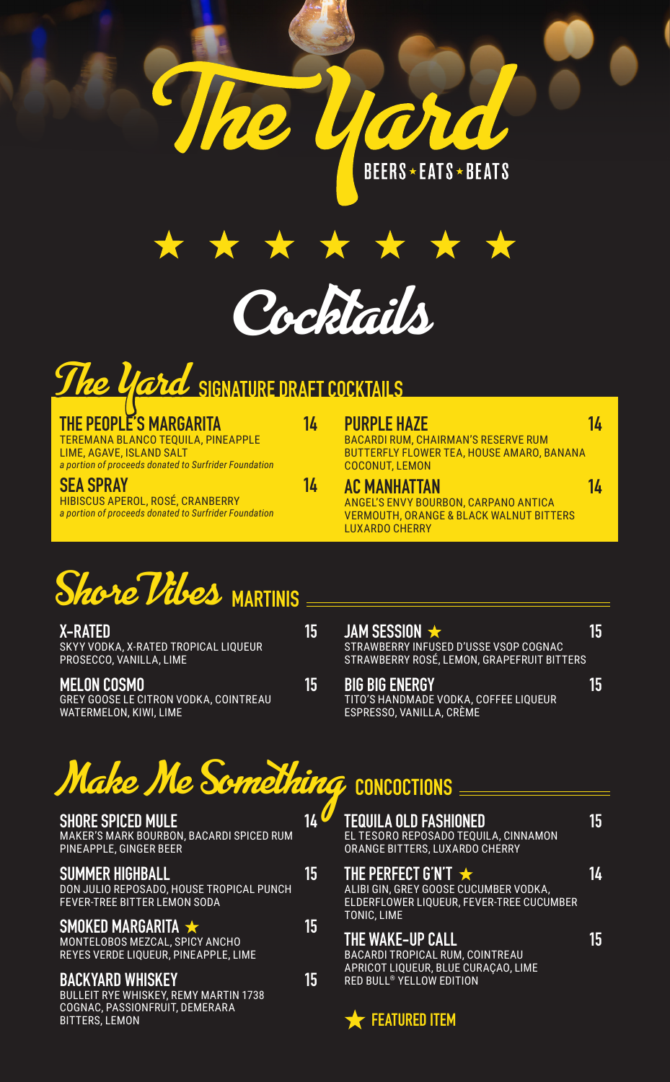



## **The Yard SIGNATURE DRAFT COCKTAILS**

| THE PEOPLE'S MARGARITA<br>TEREMANA BLANCO TEQUILA, PINEAPPLE<br>LIME, AGAVE, ISLAND SALT<br>a portion of proceeds donated to Surfrider Foundation | 14 | <b>PURPLE HAZE</b><br><b>BACARDI RUM, CHAIRMAN'S RESERVE RUM</b><br>BUTTERFLY FLOWER TEA, HOUSE AMARO, BANANA<br><b>COCONUT, LEMON</b>     | 14 |
|---------------------------------------------------------------------------------------------------------------------------------------------------|----|--------------------------------------------------------------------------------------------------------------------------------------------|----|
| <b>SEA SPRAY</b><br>HIBISCUS APEROL, ROSÉ, CRANBERRY<br>a portion of proceeds donated to Surfrider Foundation                                     | 14 | <b>AC MANHATTAN</b><br>ANGEL'S ENVY BOURBON, CARPANO ANTICA<br><b>VERMOUTH, ORANGE &amp; BLACK WALNUT BITTERS</b><br><b>LUXARDO CHERRY</b> | 14 |
|                                                                                                                                                   |    |                                                                                                                                            |    |

## **Shore Vibes** MARTINIS<br>X-RATED

**X-RATED 15** SKYY VODKA, X-RATED TROPICAL LIQUEUR PROSECCO, VANILLA, LIME

**MELON COSMO 15** GREY GOOSE LE CITRON VODKA, COINTREAU WATERMELON, KIWI, LIME

| JAM SESSION                                                                                | 15 |
|--------------------------------------------------------------------------------------------|----|
| STRAWBERRY INFUSED D'USSE VSOP COGNAC<br><b>STRAWBERRY ROSÉ, LEMON, GRAPEFRUIT BITTERS</b> |    |

**BIG BIG ENERGY 15** TITO'S HANDMADE VODKA, COFFEE LIQUEUR ESPRESSO, VANILLA, CRÈME

## **Make Me Something** CONCOCTIONS

| <b>SHORE SPICED MULE</b><br><b>MAKER'S MARK BOURBON, BACARDI SPICED RUM</b><br>PINEAPPLE, GINGER BEER                                     |    |
|-------------------------------------------------------------------------------------------------------------------------------------------|----|
| <b>SUMMER HIGHBALL</b><br>DON JULIO REPOSADO, HOUSE TROPICAL PUNCH<br><b>FEVER-TREE BITTER LEMON SODA</b>                                 | 15 |
| SMOKED MARGARITA $\star$<br>MONTELOBOS MEZCAL. SPICY ANCHO<br>REYES VERDE LIQUEUR, PINEAPPLE, LIME                                        | 15 |
| <b>BACKYARD WHISKEY</b><br><b>BULLEIT RYE WHISKEY, REMY MARTIN 1738</b><br><b>COGNAC, PASSIONFRUIT, DEMERARA</b><br><b>BITTERS, LEMON</b> | 15 |

| <b>TEQUILA OLD FASHIONED</b><br>EL TESORO REPOSADO TEQUILA, CINNAMON<br><b>ORANGE BITTERS. LUXARDO CHERRY</b>                                          |    |
|--------------------------------------------------------------------------------------------------------------------------------------------------------|----|
| THE PERFECT G'N'T $\star$<br>ALIBI GIN, GREY GOOSE CUCUMBER VODKA,<br>ELDERFLOWER LIOUEUR. FEVER-TREE CUCUMBER<br><b>TONIC. LIME</b>                   | 14 |
| <b>THE WAKE-UP CALL</b><br><b>BACARDI TROPICAL RUM, COINTREAU</b><br>APRICOT LIQUEUR, BLUE CURAÇAO, LIME<br><b>RED BULL<sup>®</sup> YELLOW EDITION</b> |    |

**FEATURED ITEM**